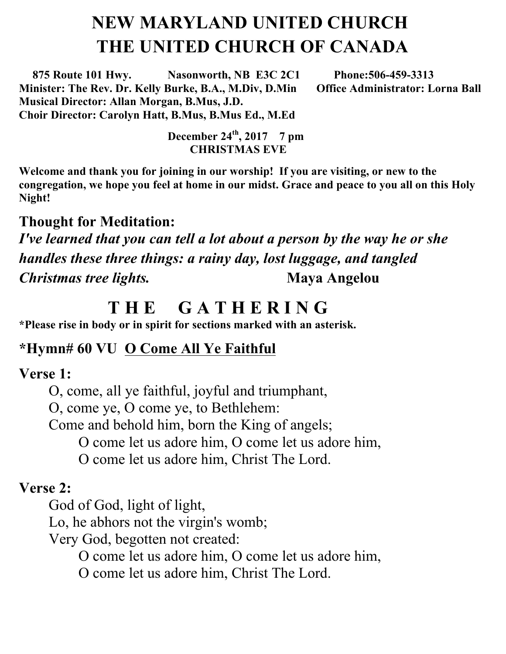# **NEW MARYLAND UNITED CHURCH THE UNITED CHURCH OF CANADA**

 **875 Route 101 Hwy. Nasonworth, NB E3C 2C1 Phone:506-459-3313 Minister: The Rev. Dr. Kelly Burke, B.A., M.Div, D.Min Musical Director: Allan Morgan, B.Mus, J.D. Choir Director: Carolyn Hatt, B.Mus, B.Mus Ed., M.Ed** 

**December 24th , 2017 7 pm CHRISTMAS EVE**

**Welcome and thank you for joining in our worship! If you are visiting, or new to the congregation, we hope you feel at home in our midst. Grace and peace to you all on this Holy Night!**

#### **Thought for Meditation:**

*I've learned that you can tell a lot about a person by the way he or she handles these three things: a rainy day, lost luggage, and tangled Christmas tree lights.* **Maya Angelou**

# **T H E G A T H E R I N G**

**\*Please rise in body or in spirit for sections marked with an asterisk.**

## **\*Hymn# 60 VU O Come All Ye Faithful**

#### **Verse 1:**

O, come, all ye faithful, joyful and triumphant,

O, come ye, O come ye, to Bethlehem:

Come and behold him, born the King of angels;

O come let us adore him, O come let us adore him,

O come let us adore him, Christ The Lord.

## **Verse 2:**

God of God, light of light,

Lo, he abhors not the virgin's womb;

Very God, begotten not created:

O come let us adore him, O come let us adore him,

O come let us adore him, Christ The Lord.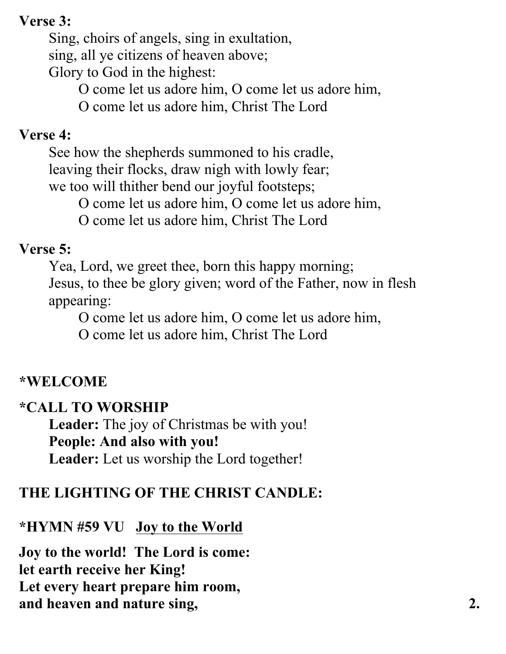#### **Verse 3:**

Sing, choirs of angels, sing in exultation,

sing, all ye citizens of heaven above;

Glory to God in the highest:

O come let us adore him, O come let us adore him,

O come let us adore him, Christ The Lord

# **Verse 4:**

See how the shepherds summoned to his cradle, leaving their flocks, draw nigh with lowly fear; we too will thither bend our joyful footsteps;

O come let us adore him, O come let us adore him,

O come let us adore him, Christ The Lord

# **Verse 5:**

Yea, Lord, we greet thee, born this happy morning; Jesus, to thee be glory given; word of the Father, now in flesh appearing:

O come let us adore him, O come let us adore him,

O come let us adore him, Christ The Lord

## **\*WELCOME**

## **\*CALL TO WORSHIP**

**Leader:** The joy of Christmas be with you! **People: And also with you! Leader:** Let us worship the Lord together!

## **THE LIGHTING OF THE CHRIST CANDLE:**

# **\*HYMN #59 VU Joy to the World**

**Joy to the world! The Lord is come: let earth receive her King! Let every heart prepare him room, and heaven and nature sing, 2. 2.**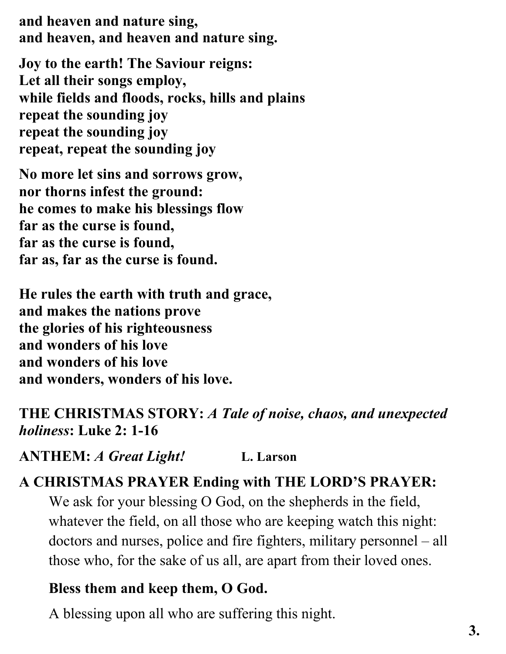**and heaven and nature sing, and heaven, and heaven and nature sing.**

**Joy to the earth! The Saviour reigns: Let all their songs employ, while fields and floods, rocks, hills and plains repeat the sounding joy repeat the sounding joy repeat, repeat the sounding joy** 

**No more let sins and sorrows grow, nor thorns infest the ground: he comes to make his blessings flow far as the curse is found, far as the curse is found, far as, far as the curse is found.**

**He rules the earth with truth and grace, and makes the nations prove the glories of his righteousness and wonders of his love and wonders of his love and wonders, wonders of his love.**

#### **THE CHRISTMAS STORY:** *A Tale of noise, chaos, and unexpected holiness***: Luke 2: 1-16**

**ANTHEM:** *A Great Light!* **L. Larson**

## **A CHRISTMAS PRAYER Ending with THE LORD'S PRAYER:**

We ask for your blessing O God, on the shepherds in the field, whatever the field, on all those who are keeping watch this night: doctors and nurses, police and fire fighters, military personnel – all those who, for the sake of us all, are apart from their loved ones.

#### **Bless them and keep them, O God.**

A blessing upon all who are suffering this night.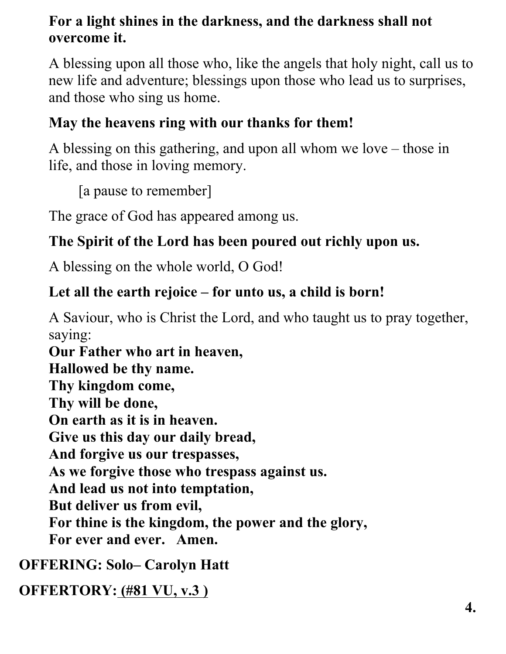## **For a light shines in the darkness, and the darkness shall not overcome it.**

A blessing upon all those who, like the angels that holy night, call us to new life and adventure; blessings upon those who lead us to surprises, and those who sing us home.

## **May the heavens ring with our thanks for them!**

A blessing on this gathering, and upon all whom we love – those in life, and those in loving memory.

[a pause to remember]

The grace of God has appeared among us.

# **The Spirit of the Lord has been poured out richly upon us.**

A blessing on the whole world, O God!

## **Let all the earth rejoice – for unto us, a child is born!**

A Saviour, who is Christ the Lord, and who taught us to pray together, saying:

**Our Father who art in heaven, Hallowed be thy name. Thy kingdom come, Thy will be done, On earth as it is in heaven. Give us this day our daily bread, And forgive us our trespasses, As we forgive those who trespass against us. And lead us not into temptation, But deliver us from evil, For thine is the kingdom, the power and the glory, For ever and ever. Amen.**

# **OFFERING: Solo– Carolyn Hatt**

## **OFFERTORY: (#81 VU, v.3 )**